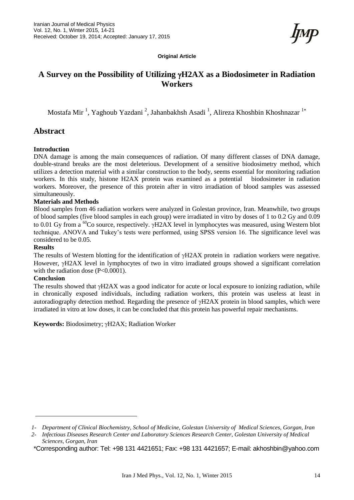**Original Article**

# **A Survey on the Possibility of Utilizing H2AX as a Biodosimeter in Radiation Workers**

Mostafa Mir<sup>1</sup>, Yaghoub Yazdani<sup>2</sup>, Jahanbakhsh Asadi<sup>1</sup>, Alireza Khoshbin Khoshnazar<sup>1\*</sup>

## **Abstract**

### **Introduction**

DNA damage is among the main consequences of radiation. Of many different classes of DNA damage, double-strand breaks are the most deleterious. Development of a sensitive biodosimetry method, which utilizes a detection material with a similar construction to the body, seems essential for monitoring radiation workers. In this study, histone H2AX protein was examined as a potential biodosimeter in radiation workers. Moreover, the presence of this protein after in vitro irradiation of blood samples was assessed simultaneously.

#### **Materials and Methods**

Blood samples from 46 radiation workers were analyzed in Golestan province, Iran. Meanwhile, two groups of blood samples (five blood samples in each group) were irradiated in vitro by doses of 1 to 0.2 Gy and 0.09 to 0.01 Gy from a <sup>60</sup>Co source, respectively.  $\gamma$ H2AX level in lymphocytes was measured, using Western blot technique. ANOVA and Tukey's tests were performed, using SPSS version 16. The significance level was considered to be 0.05.

#### **Results**

The results of Western blotting for the identification of  $\gamma$ H2AX protein in radiation workers were negative. However,  $\gamma$ H2AX level in lymphocytes of two in vitro irradiated groups showed a significant correlation with the radiation dose (P<0.0001).

### **Conclusion**

The results showed that  $\gamma$ H2AX was a good indicator for acute or local exposure to ionizing radiation, while in chronically exposed individuals, including radiation workers, this protein was useless at least in autoradiography detection method. Regarding the presence of  $\gamma$ H2AX protein in blood samples, which were irradiated in vitro at low doses, it can be concluded that this protein has powerful repair mechanisms.

Keywords: Biodosimetry;  $\gamma$ H2AX; Radiation Worker

*<sup>1-</sup> Department of Clinical Biochemistry, School of Medicine, Golestan University of Medical Sciences, Gorgan, Iran*

*<sup>2-</sup> Infectious Diseases Research Center and Laboratory Sciences Research Center, Golestan University of Medical Sciences, Gorgan, Iran* 

<sup>\*</sup>Corresponding author: Tel: +98 131 4421651; Fax: +98 131 4421657; E-mail[: akhoshbin@yahoo.com](mailto:akhoshbin@yahoo.com)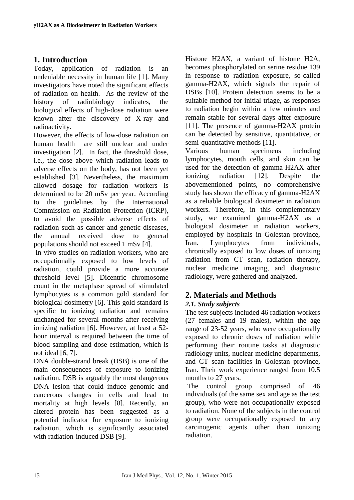# **1. Introduction**

Today, application of radiation is an undeniable necessity in human life [1]. Many investigators have noted the significant effects of radiation on health. As the review of the history of radiobiology indicates, the biological effects of high-dose radiation were known after the discovery of X-ray and radioactivity.

However, the effects of low-dose radiation on human health are still unclear and under investigation [2]. In fact, the threshold dose, i.e., the dose above which radiation leads to adverse effects on the body, has not been yet established [3]. Nevertheless, the maximum allowed dosage for radiation workers is determined to be 20 mSv per year. According to the guidelines by the International Commission on Radiation Protection (ICRP), to avoid the possible adverse effects of radiation such as cancer and genetic diseases, the annual received dose to general populations should not exceed 1 mSv [4].

In vivo studies on radiation workers, who are occupationally exposed to low levels of radiation, could provide a more accurate threshold level [5]. Dicentric chromosome count in the metaphase spread of stimulated lymphocytes is a common gold standard for biological dosimetry [6]. This gold standard is specific to ionizing radiation and remains unchanged for several months after receiving ionizing radiation [6]. However, at least a 52 hour interval is required between the time of blood sampling and dose estimation, which is not ideal [6, 7].

DNA double-strand break (DSB) is one of the main consequences of exposure to ionizing radiation. DSB is arguably the most dangerous DNA lesion that could induce genomic and cancerous changes in cells and lead to mortality at high levels [8]. Recently, an altered protein has been suggested as a potential indicator for exposure to ionizing radiation, which is significantly associated with radiation-induced DSB [9].

Histone H2AX, a variant of histone H2A, becomes phosphorylated on serine residue 139 in response to radiation exposure, so-called gamma-H2AX, which signals the repair of DSBs [10]. Protein detection seems to be a suitable method for initial triage, as responses to radiation begin within a few minutes and remain stable for several days after exposure [11]. The presence of gamma-H2AX protein can be detected by sensitive, quantitative, or semi-quantitative methods [11].

Various human specimens including lymphocytes, mouth cells, and skin can be used for the detection of gamma-H2AX after ionizing radiation [12]. Despite the abovementioned points, no comprehensive study has shown the efficacy of gamma-H2AX as a reliable biological dosimeter in radiation workers. Therefore, in this complementary study, we examined gamma-H2AX as a biological dosimeter in radiation workers, employed by hospitals in Golestan province, Iran. Lymphocytes from individuals, chronically exposed to low doses of ionizing radiation from CT scan, radiation therapy, nuclear medicine imaging, and diagnostic radiology, were gathered and analyzed.

# **2. Materials and Methods**

## *2.1. Study subjects*

The test subjects included 46 radiation workers (27 females and 19 males), within the age range of 23-52 years, who were occupationally exposed to chronic doses of radiation while performing their routine tasks at diagnostic radiology units, nuclear medicine departments, and CT scan facilities in Golestan province, Iran. Their work experience ranged from 10.5 months to 27 years.

The control group comprised of 46 individuals (of the same sex and age as the test group), who were not occupationally exposed to radiation. None of the subjects in the control group were occupationally exposed to any carcinogenic agents other than ionizing radiation.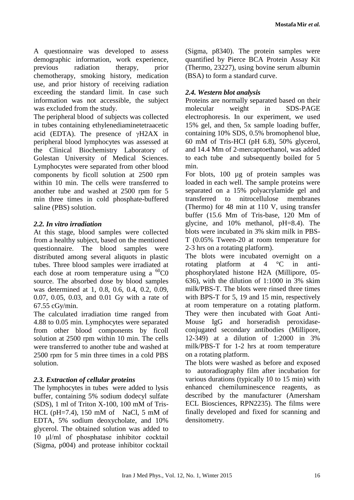A questionnaire was developed to assess demographic information, work experience, previous radiation therapy, prior chemotherapy, smoking history, medication use, and prior history of receiving radiation exceeding the standard limit. In case such information was not accessible, the subject was excluded from the study.

The peripheral blood of subjects was collected in tubes containing ethylenediaminetetraacetic acid (EDTA). The presence of  $\gamma$ H2AX in peripheral blood lymphocytes was assessed at the Clinical Biochemistry Laboratory of Golestan University of Medical Sciences. Lymphocytes were separated from other blood components by ficoll solution at 2500 rpm within 10 min. The cells were transferred to another tube and washed at 2500 rpm for 5 min three times in cold phosphate-buffered saline (PBS) solution.

## *2.2. In vitro irradiation*

At this stage, blood samples were collected from a healthy subject, based on the mentioned questionnaire. The blood samples were distributed among several aliquots in plastic tubes. Three blood samples were irradiated at each dose at room temperature using a  ${}^{60}CO$ source. The absorbed dose by blood samples was determined at 1, 0.8, 0.6, 0.4, 0.2, 0.09, 0.07, 0.05, 0.03, and 0.01 Gy with a rate of 67.55 cGy/min.

The calculated irradiation time ranged from 4.88 to 0.05 min. Lymphocytes were separated from other blood components by ficoll solution at 2500 rpm within 10 min. The cells were transferred to another tube and washed at 2500 rpm for 5 min three times in a cold PBS solution.

## *2.3. Extraction of cellular proteins*

The lymphocytes in tubes were added to lysis buffer, containing 5% sodium dodecyl sulfate (SDS), 1 ml of Triton X-100, 100 mM of Tris-HCL ( $pH=7.4$ ), 150 mM of NaCl, 5 mM of EDTA, 5% sodium deoxycholate, and 10% glycerol. The obtained solution was added to 10 μl/ml of phosphatase inhibitor cocktail (Sigma, p004) and protease inhibitor cocktail (Sigma, p8340). The protein samples were quantified by Pierce BCA Protein Assay Kit (Thermo, 23227), using bovine serum albumin (BSA) to form a standard curve.

## *2.4. Western blot analysis*

Proteins are normally separated based on their molecular weight in SDS-PAGE electrophoresis. In our experiment, we used 15% gel, and then, 5x sample loading buffer, containing 10% SDS, 0.5% bromophenol blue, 60 mM of Tris-HCI (pH 6.8), 50% glycerol, and 14.4 Mm of 2-mercaptoethanol, was added to each tube and subsequently boiled for 5 min.

For blots, 100 µg of protein samples was loaded in each well. The sample proteins were separated on a 15% polyacrylamide gel and transferred to nitrocellulose membranes (Thermo) for 48 min at 110 V, using transfer buffer (15.6 Mm of Tris-base, 120 Mm of glycine, and 10% methanol, pH=8.4). The blots were incubated in 3% skim milk in PBS-T (0.05% Tween-20 at room temperature for 2-3 hrs on a rotating platform).

The blots were incubated overnight on a rotating platform at 4 °C in antiphosphorylated histone H2A (Millipore, 05- 636), with the dilution of 1:1000 in 3% skim milk/PBS-T. The blots were rinsed three times with BPS-T for 5, 19 and 15 min, respectively at room temperature on a rotating platform. They were then incubated with Goat Anti-Mouse IgG and horseradish peroxidaseconjugated secondary antibodies (Millipore, 12-349) at a dilution of 1:2000 in 3% milk/PBS-T for 1-2 hrs at room temperature on a rotating platform.

The blots were washed as before and exposed to autoradiography film after incubation for various durations (typically 10 to 15 min) with enhanced chemiluminescence reagents, as described by the manufacturer (Amersham ECL Biosciences, RPN2235). The films were finally developed and fixed for scanning and densitometry.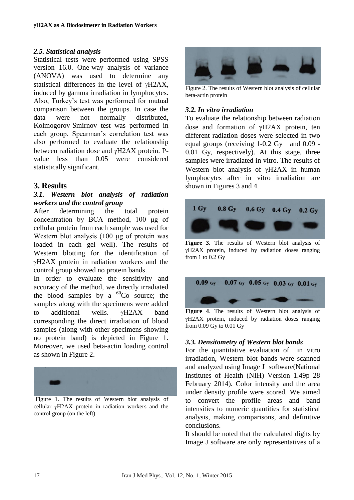#### *2.5. Statistical analysis*

Statistical tests were performed using SPSS version 16.0. One-way analysis of variance (ANOVA) was used to determine any statistical differences in the level of  $\gamma$ H2AX, induced by gamma irradiation in lymphocytes. Also, Turkey's test was performed for mutual comparison between the groups. In case the data were not normally distributed, Kolmogorov-Smirnov test was performed in each group. Spearman's correlation test was also performed to evaluate the relationship between radiation dose and  $\gamma$ H2AX protein. Pvalue less than 0.05 were considered statistically significant.

### **3. Results**

### *3.1. Western blot analysis of radiation workers and the control group*

After determining the total protein concentration by BCA method, 100 μg of cellular protein from each sample was used for Western blot analysis (100 μg of protein was loaded in each gel well). The results of Western blotting for the identification of H2AX protein in radiation workers and the control group showed no protein bands.

In order to evaluate the sensitivity and accuracy of the method, we directly irradiated the blood samples by a  ${}^{60}Co$  source; the samples along with the specimens were added to additional wells.  $vH2AX$  band corresponding the direct irradiation of blood samples (along with other specimens showing no protein band) is depicted in Figure 1. Moreover, we used beta-actin loading control as shown in Figure 2.



Figure 1. The results of Western blot analysis of cellular  $\gamma$ H2AX protein in radiation workers and the control group (on the left)



Figure 2. The results of Western blot analysis of cellular beta-actin protein

### *3.2. In vitro irradiation*

To evaluate the relationship between radiation dose and formation of  $\gamma$ H2AX protein, ten different radiation doses were selected in two equal groups (receiving 1-0.2 Gy and 0.09 - 0.01 Gy, respectively). At this stage, three samples were irradiated in vitro. The results of Western blot analysis of  $\gamma$ H2AX in human lymphocytes after in vitro irradiation are shown in Figures 3 and 4.



**Figure 3.** The results of Western blot analysis of  $\gamma$ H2AX protein, induced by radiation doses ranging from 1 to 0.2 Gy



**Figure 4**. The results of Western blot analysis of H2AX protein, induced by radiation doses ranging from 0.09 Gy to 0.01 Gy

### *3.3. Densitometry of Western blot bands*

For the quantitative evaluation of in vitro irradiation, Western blot bands were scanned and analyzed using Image J software[\(National](http://www.google.com/url?sa=t&rct=j&q=&esrc=s&source=web&cd=1&cad=rja&uact=8&ved=0CB4QFjAA&url=http%3A%2F%2Fwww.nih.gov%2F&ei=u-UFVYvuG4vjywOCh4KQDA&usg=AFQjCNFXdfYYsjGYZ-zkAvIN3qpbZ1-VVw&bvm=bv.88198703,d.bGQ)  [Institutes of Health \(NIH\)](http://www.google.com/url?sa=t&rct=j&q=&esrc=s&source=web&cd=1&cad=rja&uact=8&ved=0CB4QFjAA&url=http%3A%2F%2Fwww.nih.gov%2F&ei=u-UFVYvuG4vjywOCh4KQDA&usg=AFQjCNFXdfYYsjGYZ-zkAvIN3qpbZ1-VVw&bvm=bv.88198703,d.bGQ) Version 1.49p 28 February 2014). Color intensity and the area under density profile were scored. We aimed to convert the profile areas and band intensities to numeric quantities for statistical analysis, making comparisons, and definitive conclusions.

It should be noted that the calculated digits by Image J software are only representatives of a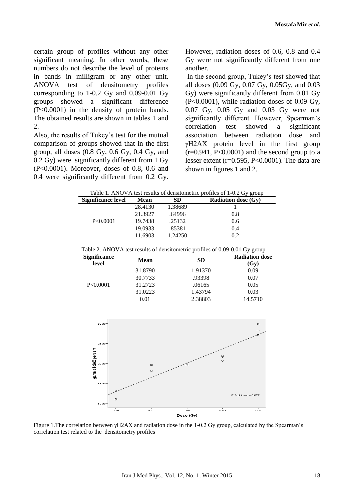certain group of profiles without any other significant meaning. In other words, these numbers do not describe the level of proteins in bands in milligram or any other unit. ANOVA test of densitometry profiles corresponding to 1-0.2 Gy and 0.09-0.01 Gy groups showed a significant difference (P<0.0001) in the density of protein bands. The obtained results are shown in tables 1 and 2.

Also, the results of Tukey's test for the mutual comparison of groups showed that in the first group, all doses (0.8 Gy, 0.6 Gy, 0.4 Gy, and 0.2 Gy) were significantly different from 1 Gy (P<0.0001). Moreover, doses of 0.8, 0.6 and 0.4 were significantly different from 0.2 Gy.

However, radiation doses of 0.6, 0.8 and 0.4 Gy were not significantly different from one another.

In the second group, Tukey's test showed that all doses (0.09 Gy, 0.07 Gy, 0.05Gy, and 0.03 Gy) were significantly different from 0.01 Gy (P<0.0001), while radiation doses of 0.09 Gy, 0.07 Gy, 0.05 Gy and 0.03 Gy were not significantly different. However, Spearman's correlation test showed a significant association between radiation dose and  $\gamma$ H2AX protein level in the first group  $(r=0.941, P<0.0001)$  and the second group to a lesser extent (r=0.595, P<0.0001). The data are shown in figures 1 and 2.

| Table 1. ANOVA test results of densitometric profiles of 1-0.2 Gy group                                                     |         |           |         |                            |
|-----------------------------------------------------------------------------------------------------------------------------|---------|-----------|---------|----------------------------|
| <b>Significance level</b>                                                                                                   | Mean    | <b>SD</b> |         | <b>Radiation dose (Gy)</b> |
| P < 0.0001                                                                                                                  | 28.4130 | 1.38689   |         |                            |
|                                                                                                                             | 21.3927 | .64996    | 0.8     |                            |
|                                                                                                                             | 19.7438 | .25132    | 0.6     |                            |
|                                                                                                                             | 19.0933 | .85381    | 0.4     |                            |
|                                                                                                                             | 11.6903 | 1.24250   | 0.2     |                            |
| Table 2. ANOVA test results of densitometric profiles of 0.09-0.01 Gy group<br><b>Significance</b><br><b>Radiation dose</b> |         |           |         |                            |
| level                                                                                                                       | Mean    | <b>SD</b> |         | (Gy)                       |
| P < 0.0001                                                                                                                  | 31.8790 |           | 1.91370 | 0.09                       |
|                                                                                                                             | 30.7733 |           | .93398  | 0.07                       |
|                                                                                                                             | 31.2723 |           | .06165  | 0.05                       |
|                                                                                                                             | 31.0223 |           | 1.43794 | 0.03                       |
|                                                                                                                             | 0.01    | 2.38803   |         |                            |



Figure 1. The correlation between  $\gamma$ H2AX and radiation dose in the 1-0.2 Gy group, calculated by the Spearman's correlation test related to the densitometry profiles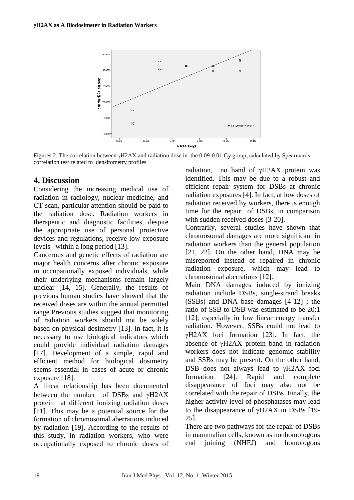

Figures 2. The correlation between  $\gamma$ H2AX and radiation dose in the 0.09-0.01 Gy group, calculated by Spearman's correlation test related to densitometry profiles

## **4. Discussion**

Considering the increasing medical use of radiation in radiology, nuclear medicine, and CT scan, particular attention should be paid to the radiation dose. Radiation workers in therapeutic and diagnostic facilities, despite the appropriate use of personal protective devices and regulations, receive low exposure levels within a long period [13].

Cancerous and genetic effects of radiation are major health concerns after chronic exposure in occupationally exposed individuals, while their underlying mechanisms remain largely unclear [14, 15]. Generally, the results of previous human studies have showed that the received doses are within the annual permitted range Previous studies suggest that monitoring of radiation workers should not be solely based on physical dosimetry [13]. In fact, it is necessary to use biological indicators which could provide individual radiation damages [17]. Development of a simple, rapid and efficient method for biological dosimetry seems essential in cases of acute or chronic exposure [18].

A linear relationship has been documented between the number of DSBs and  $\gamma$ H2AX protein at different ionizing radiation doses [11]. This may be a potential source for the formation of chromosomal aberrations induced by radiation [19]. According to the results of this study, in radiation workers, who were occupationally exposed to chronic doses of radiation, no band of  $\gamma$ H2AX protein was identified. This may be due to a robust and efficient repair system for DSBs at chronic radiation exposures [4]. In fact, at low doses of radiation received by workers, there is enough time for the repair of DSBs, in comparison with sudden received doses [3-20].

Contrarily, several studies have shown that chromosomal damages are more significant in radiation workers than the general population [21, 22]. On the other hand, DNA may be misreported instead of repaired in chronic radiation exposure, which may lead to chromosomal aberrations [12].

Main DNA damages induced by ionizing radiation include DSBs, single-strand breaks (SSBs) and DNA base damages [4-12] ; the ratio of SSB to DSB was estimated to be 20:1 [12], especially in low linear energy transfer radiation. However, SSBs could not lead to  $\gamma$ H2AX foci formation [23]. In fact, the absence of  $\gamma$ H2AX protein band in radiation workers does not indicate genomic stability and SSBs may be present. On the other hand, DSB does not always lead to  $\gamma$ H2AX foci formation [24]. Rapid and complete disappearance of foci may also not be correlated with the repair of DSBs. Finally, the higher activity level of phosphatases may lead to the disappearance of  $vH2AX$  in DSBs [19-25].

There are two pathways for the repair of DSBs in mammalian cells, known as nonhomologous end joining (NHEJ) and homologous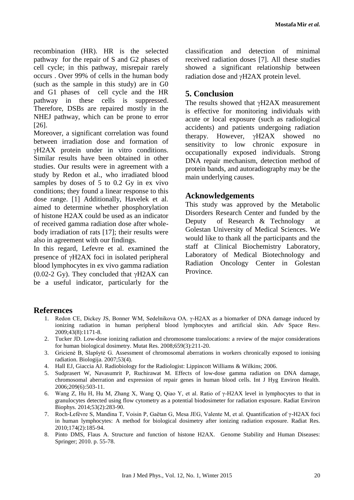recombination (HR). HR is the selected pathway for the repair of S and G2 phases of cell cycle; in this pathway, misrepair rarely occurs . Over 99% of cells in the human body (such as the sample in this study) are in G0 and G1 phases of cell cycle and the HR pathway in these cells is suppressed. Therefore, DSBs are repaired mostly in the NHEJ pathway, which can be prone to error [26].

Moreover, a significant correlation was found between irradiation dose and formation of H2AX protein under in vitro conditions. Similar results have been obtained in other studies. Our results were in agreement with a study by Redon et al., who irradiated blood samples by doses of 5 to 0.2 Gy in ex vivo conditions; they found a linear response to this dose range. [1] Additionally, Havelek et al. aimed to determine whether phosphorylation of histone H2AX could be used as an indicator of received gamma radiation dose after wholebody irradiation of rats [17]; their results were also in agreement with our findings.

In this regard, Lefevre et al. examined the presence of  $\gamma$ H2AX foci in isolated peripheral blood lymphocytes in ex vivo gamma radiation (0.02-2 Gy). They concluded that  $\gamma$ H2AX can be a useful indicator, particularly for the classification and detection of minimal received radiation doses [7]. All these studies showed a significant relationship between radiation dose and  $\gamma$ H2AX protein level.

### **5. Conclusion**

The results showed that  $vH2AX$  measurement is effective for monitoring individuals with acute or local exposure (such as radiological accidents) and patients undergoing radiation therapy. However,  $vH2AX$  showed no sensitivity to low chronic exposure in occupationally exposed individuals. Strong DNA repair mechanism, detection method of protein bands, and autoradiography may be the main underlying causes.

### **Acknowledgements**

This study was approved by the Metabolic Disorders Research Center and funded by the Deputy of Research & Technology at Golestan University of Medical Sciences. We would like to thank all the participants and the staff at Clinical Biochemistry Laboratory, Laboratory of Medical Biotechnology and Radiation Oncology Center in Golestan Province.

### **References**

- 1. Redon CE, Dickey JS, Bonner WM, Sedelnikova OA. γ-H2AX as a biomarker of DNA damage induced by ionizing radiation in human peripheral blood lymphocytes and artificial skin. [Adv Space Res](http://www.ncbi.nlm.nih.gov/pubmed/?term=%CE%B3-H2AX+as+a+biomarker+of+DNA+damage+induced+by+ionizing+radiation+in+human+peripheral+blood+lymphocytes+and+artificial+skin)v. 2009;43(8):1171-8.
- 2. Tucker JD. Low-dose ionizing radiation and chromosome translocations: a review of the major considerations for human biological dosimetry. Mutat Res. 2008;659(3):211-20.
- 3. Gricienė B, Slapšytė G. Assessment of chromosomal aberrations in workers chronically exposed to ionising radiation. Biologija. 2007;53(4).
- 4. Hall EJ, Giaccia AJ. Radiobiology for the Radiologist: Lippincott Williams & Wilkins; 2006.
- 5. Sudprasert W, Navasumrit P, Ruchirawat M. Effects of low-dose gamma radiation on DNA damage, chromosomal aberration and expression of repair genes in human blood cells. Int J Hyg Environ Health. 2006;209(6):503-11.
- 6. Wang Z, Hu H, Hu M, Zhang X, Wang Q, Qiao Y, et al. Ratio of γ-H2AX level in lymphocytes to that in granulocytes detected using flow cytometry as a potential biodosimeter for radiation exposure. Radiat Environ Biophys. 2014;53(2):283-90.
- 7. Roch-Lefèvre S, Mandina T, Voisin P, Gaëtan G, Mesa JEG, Valente M, et al. Quantification of γ-H2AX foci in human lymphocytes: A method for biological dosimetry after ionizing radiation exposure. Radiat Res. 2010;174(2):185-94.
- 8. Pinto DMS, Flaus A. Structure and function of histone H2AX. Genome Stability and Human Diseases: Springer; 2010. p. 55-78.